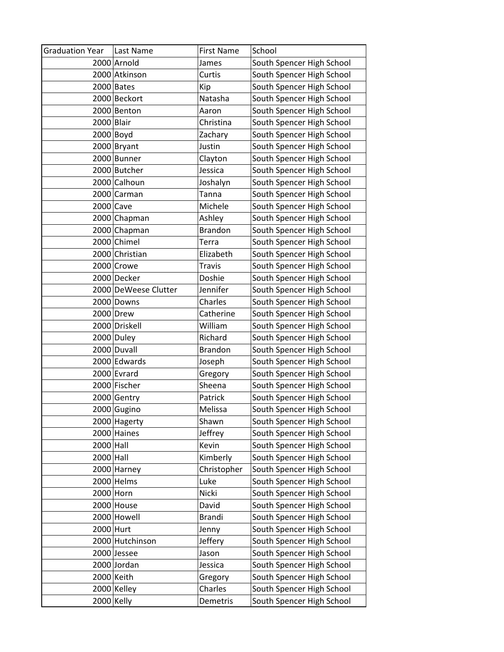| <b>Graduation Year</b> | Last Name            | <b>First Name</b> | School                    |
|------------------------|----------------------|-------------------|---------------------------|
|                        | 2000 Arnold          | James             | South Spencer High School |
|                        | 2000 Atkinson        | Curtis            | South Spencer High School |
|                        | 2000 Bates           | Kip               | South Spencer High School |
|                        | 2000 Beckort         | Natasha           | South Spencer High School |
|                        | 2000 Benton          | Aaron             | South Spencer High School |
| 2000 Blair             |                      | Christina         | South Spencer High School |
| $2000$ Boyd            |                      | Zachary           | South Spencer High School |
|                        | 2000 Bryant          | Justin            | South Spencer High School |
|                        | 2000 Bunner          | Clayton           | South Spencer High School |
|                        | 2000 Butcher         | Jessica           | South Spencer High School |
|                        | 2000 Calhoun         | Joshalyn          | South Spencer High School |
|                        | 2000 Carman          | Tanna             | South Spencer High School |
| 2000 Cave              |                      | Michele           | South Spencer High School |
|                        | 2000 Chapman         | Ashley            | South Spencer High School |
|                        | 2000 Chapman         | <b>Brandon</b>    | South Spencer High School |
|                        | 2000 Chimel          | Terra             | South Spencer High School |
|                        | 2000 Christian       | Elizabeth         | South Spencer High School |
|                        | 2000 Crowe           | <b>Travis</b>     | South Spencer High School |
|                        | 2000 Decker          | Doshie            | South Spencer High School |
|                        | 2000 DeWeese Clutter | Jennifer          | South Spencer High School |
|                        | 2000 Downs           | Charles           | South Spencer High School |
|                        | 2000 Drew            | Catherine         | South Spencer High School |
|                        | 2000 Driskell        | William           | South Spencer High School |
|                        | 2000 Duley           | Richard           | South Spencer High School |
|                        | 2000 Duvall          | <b>Brandon</b>    | South Spencer High School |
|                        | 2000 Edwards         | Joseph            | South Spencer High School |
|                        | 2000 Evrard          | Gregory           | South Spencer High School |
|                        | 2000 Fischer         | Sheena            | South Spencer High School |
|                        | 2000 Gentry          | Patrick           | South Spencer High School |
|                        | 2000 Gugino          | Melissa           | South Spencer High School |
|                        | 2000 Hagerty         | Shawn             | South Spencer High School |
|                        | 2000 Haines          | Jeffrey           | South Spencer High School |
| $2000$ Hall            |                      | Kevin             | South Spencer High School |
| $2000$ Hall            |                      | Kimberly          | South Spencer High School |
|                        | 2000 Harney          | Christopher       | South Spencer High School |
|                        | 2000 Helms           | Luke              | South Spencer High School |
| $2000$ Horn            |                      | Nicki             | South Spencer High School |
|                        | 2000 House           | David             | South Spencer High School |
|                        | 2000 Howell          | <b>Brandi</b>     | South Spencer High School |
| 2000 Hurt              |                      | Jenny             | South Spencer High School |
|                        | 2000 Hutchinson      | Jeffery           | South Spencer High School |
|                        | 2000 Jessee          | Jason             | South Spencer High School |
|                        | 2000 Jordan          | Jessica           | South Spencer High School |
|                        | 2000 Keith           | Gregory           | South Spencer High School |
|                        | 2000 Kelley          | Charles           | South Spencer High School |
| $2000$ Kelly           |                      | Demetris          | South Spencer High School |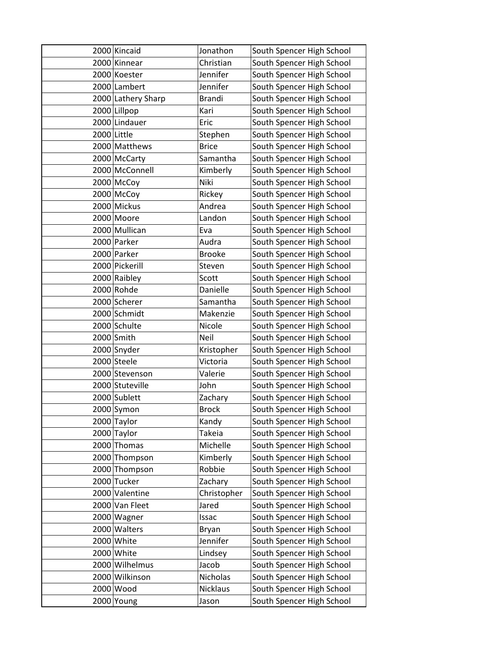| 2000 Kincaid       | Jonathon        | South Spencer High School |
|--------------------|-----------------|---------------------------|
| 2000 Kinnear       | Christian       | South Spencer High School |
| 2000 Koester       | Jennifer        | South Spencer High School |
| 2000 Lambert       | Jennifer        | South Spencer High School |
| 2000 Lathery Sharp | <b>Brandi</b>   | South Spencer High School |
| 2000 Lillpop       | Kari            | South Spencer High School |
| 2000 Lindauer      | Eric            | South Spencer High School |
| 2000 Little        | Stephen         | South Spencer High School |
| 2000 Matthews      | <b>Brice</b>    | South Spencer High School |
| 2000 McCarty       | Samantha        | South Spencer High School |
| 2000 McConnell     | Kimberly        | South Spencer High School |
| 2000 McCoy         | Niki            | South Spencer High School |
| 2000 McCoy         | Rickey          | South Spencer High School |
| 2000 Mickus        | Andrea          | South Spencer High School |
| 2000 Moore         | Landon          | South Spencer High School |
| 2000 Mullican      | Eva             | South Spencer High School |
| 2000 Parker        | Audra           | South Spencer High School |
| 2000 Parker        | <b>Brooke</b>   | South Spencer High School |
| 2000 Pickerill     | Steven          | South Spencer High School |
| 2000 Raibley       | Scott           | South Spencer High School |
| 2000 Rohde         | Danielle        | South Spencer High School |
| 2000 Scherer       | Samantha        | South Spencer High School |
| 2000 Schmidt       | Makenzie        | South Spencer High School |
| 2000 Schulte       | Nicole          | South Spencer High School |
| 2000 Smith         | Neil            | South Spencer High School |
| 2000 Snyder        | Kristopher      | South Spencer High School |
| 2000 Steele        | Victoria        | South Spencer High School |
| 2000 Stevenson     | Valerie         | South Spencer High School |
| 2000 Stuteville    | John            | South Spencer High School |
| 2000 Sublett       | Zachary         | South Spencer High School |
| 2000 Symon         | <b>Brock</b>    | South Spencer High School |
| 2000 Taylor        | Kandy           | South Spencer High School |
| 2000 Taylor        | <b>Takeia</b>   | South Spencer High School |
| 2000 Thomas        | Michelle        | South Spencer High School |
| 2000 Thompson      | Kimberly        | South Spencer High School |
| 2000 Thompson      | Robbie          | South Spencer High School |
| 2000 Tucker        | Zachary         | South Spencer High School |
| 2000 Valentine     | Christopher     | South Spencer High School |
| 2000 Van Fleet     | Jared           | South Spencer High School |
| 2000 Wagner        | Issac           | South Spencer High School |
| 2000 Walters       | Bryan           | South Spencer High School |
| 2000 White         | Jennifer        | South Spencer High School |
| 2000 White         | Lindsey         | South Spencer High School |
| 2000 Wilhelmus     | Jacob           | South Spencer High School |
| 2000 Wilkinson     | Nicholas        | South Spencer High School |
| 2000 Wood          | <b>Nicklaus</b> | South Spencer High School |
| 2000 Young         | Jason           | South Spencer High School |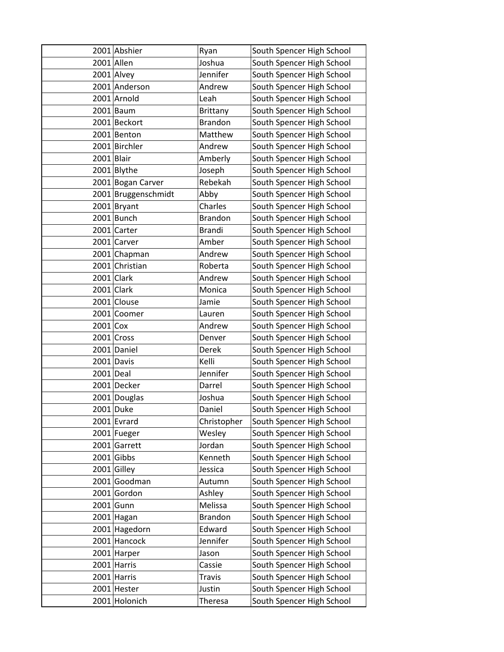|             | 2001 Abshier        | Ryan            | South Spencer High School |
|-------------|---------------------|-----------------|---------------------------|
|             | 2001 Allen          | Joshua          | South Spencer High School |
|             | 2001 Alvey          | Jennifer        | South Spencer High School |
|             | 2001 Anderson       | Andrew          | South Spencer High School |
|             | 2001 Arnold         | Leah            | South Spencer High School |
|             | $2001$ Baum         | <b>Brittany</b> | South Spencer High School |
|             | 2001 Beckort        | <b>Brandon</b>  | South Spencer High School |
|             | 2001 Benton         | Matthew         | South Spencer High School |
|             | 2001 Birchler       | Andrew          | South Spencer High School |
| 2001 Blair  |                     | Amberly         | South Spencer High School |
|             | 2001 Blythe         | Joseph          | South Spencer High School |
|             | 2001 Bogan Carver   | Rebekah         | South Spencer High School |
|             | 2001 Bruggenschmidt | Abby            | South Spencer High School |
|             | $2001$ Bryant       | Charles         | South Spencer High School |
|             | 2001 Bunch          | <b>Brandon</b>  | South Spencer High School |
|             | 2001 Carter         | <b>Brandi</b>   | South Spencer High School |
|             | 2001 Carver         | Amber           | South Spencer High School |
|             | 2001 Chapman        | Andrew          | South Spencer High School |
|             | 2001 Christian      | Roberta         | South Spencer High School |
|             | $2001$ Clark        | Andrew          | South Spencer High School |
|             | 2001 Clark          | Monica          | South Spencer High School |
|             | 2001 Clouse         | Jamie           | South Spencer High School |
| 2001        | Coomer              | Lauren          | South Spencer High School |
| $2001$ Cox  |                     | Andrew          | South Spencer High School |
|             | $2001$ Cross        | Denver          | South Spencer High School |
|             | 2001 Daniel         | Derek           | South Spencer High School |
|             | 2001 Davis          | Kelli           | South Spencer High School |
| $2001$ Deal |                     | Jennifer        | South Spencer High School |
|             | 2001 Decker         | Darrel          | South Spencer High School |
|             | 2001 Douglas        | Joshua          | South Spencer High School |
|             | 2001 Duke           | Daniel          | South Spencer High School |
|             | $2001$ Evrard       | Christopher     | South Spencer High School |
|             | 2001 Fueger         | Wesley          | South Spencer High School |
|             | 2001 Garrett        | Jordan          | South Spencer High School |
|             | $2001$ Gibbs        | Kenneth         | South Spencer High School |
|             | $2001$ Gilley       | Jessica         | South Spencer High School |
|             | 2001 Goodman        | Autumn          | South Spencer High School |
|             | 2001 Gordon         | Ashley          | South Spencer High School |
|             | $2001$ Gunn         | Melissa         | South Spencer High School |
|             | 2001 Hagan          | <b>Brandon</b>  | South Spencer High School |
|             | 2001 Hagedorn       | Edward          | South Spencer High School |
| 2001        | Hancock             | Jennifer        | South Spencer High School |
|             | 2001 Harper         | Jason           | South Spencer High School |
|             | 2001 Harris         | Cassie          | South Spencer High School |
|             | 2001 Harris         | <b>Travis</b>   | South Spencer High School |
|             | 2001 Hester         | Justin          | South Spencer High School |
|             | 2001 Holonich       | Theresa         | South Spencer High School |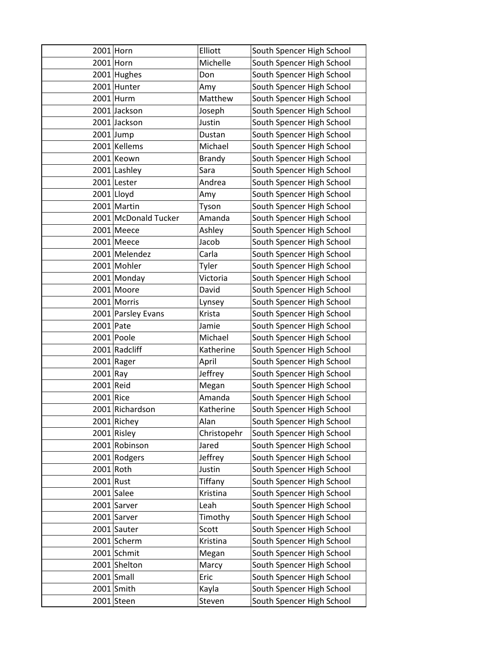|            | $2001$ Horn          | Elliott       | South Spencer High School |
|------------|----------------------|---------------|---------------------------|
|            | $2001$ Horn          | Michelle      | South Spencer High School |
|            | $2001$ Hughes        | Don           | South Spencer High School |
|            | 2001 Hunter          | Amy           | South Spencer High School |
|            | $2001$ Hurm          | Matthew       | South Spencer High School |
|            | 2001 Jackson         | Joseph        | South Spencer High School |
|            | 2001 Jackson         | Justin        | South Spencer High School |
|            | $2001$ Jump          | Dustan        | South Spencer High School |
|            | 2001 Kellems         | Michael       | South Spencer High School |
|            | 2001 Keown           | <b>Brandy</b> | South Spencer High School |
|            | 2001 Lashley         | Sara          | South Spencer High School |
|            | 2001 Lester          | Andrea        | South Spencer High School |
|            | 2001 Lloyd           | Amy           | South Spencer High School |
|            | 2001 Martin          | Tyson         | South Spencer High School |
|            | 2001 McDonald Tucker | Amanda        | South Spencer High School |
|            | 2001 Meece           | Ashley        | South Spencer High School |
|            | 2001 Meece           | Jacob         | South Spencer High School |
|            | 2001 Melendez        | Carla         | South Spencer High School |
|            | 2001 Mohler          | Tyler         | South Spencer High School |
|            | 2001 Monday          | Victoria      | South Spencer High School |
|            | 2001 Moore           | David         | South Spencer High School |
|            | 2001 Morris          | Lynsey        | South Spencer High School |
|            | 2001 Parsley Evans   | Krista        | South Spencer High School |
| 2001 Pate  |                      | Jamie         | South Spencer High School |
|            | $2001$ Poole         | Michael       | South Spencer High School |
|            | 2001 Radcliff        | Katherine     | South Spencer High School |
|            | 2001 Rager           | April         | South Spencer High School |
| $2001$ Ray |                      | Jeffrey       | South Spencer High School |
| 2001 Reid  |                      | Megan         | South Spencer High School |
| 2001 Rice  |                      | Amanda        | South Spencer High School |
|            | 2001 Richardson      | Katherine     | South Spencer High School |
|            | 2001 Richey          | Alan          | South Spencer High School |
|            | $2001$ Risley        | Christopehr   | South Spencer High School |
|            | 2001 Robinson        | Jared         | South Spencer High School |
|            | 2001 Rodgers         | Jeffrey       | South Spencer High School |
|            | 2001 Roth            | Justin        | South Spencer High School |
| 2001 Rust  |                      | Tiffany       | South Spencer High School |
|            | 2001 Salee           | Kristina      | South Spencer High School |
|            | 2001 Sarver          | Leah          | South Spencer High School |
|            | 2001 Sarver          | Timothy       | South Spencer High School |
|            | 2001 Sauter          | Scott         | South Spencer High School |
|            | 2001 Scherm          | Kristina      | South Spencer High School |
|            | 2001 Schmit          | Megan         | South Spencer High School |
|            | 2001 Shelton         | Marcy         | South Spencer High School |
|            | $2001$ Small         | Eric          | South Spencer High School |
|            | 2001 Smith           | Kayla         | South Spencer High School |
|            | $2001$ Steen         | Steven        | South Spencer High School |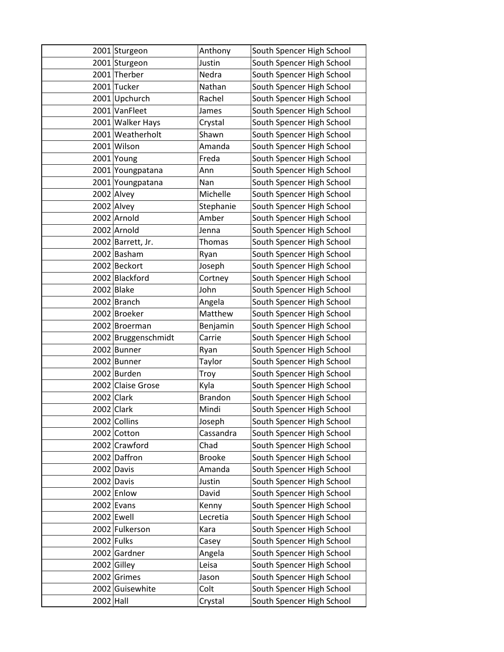|             | 2001 Sturgeon       | Anthony        | South Spencer High School |
|-------------|---------------------|----------------|---------------------------|
|             | 2001 Sturgeon       | Justin         | South Spencer High School |
|             | 2001 Therber        | Nedra          | South Spencer High School |
|             | 2001 Tucker         | Nathan         | South Spencer High School |
|             | 2001 Upchurch       | Rachel         | South Spencer High School |
|             | 2001 VanFleet       | James          | South Spencer High School |
|             | 2001 Walker Hays    | Crystal        | South Spencer High School |
|             | 2001 Weatherholt    | Shawn          | South Spencer High School |
|             | 2001 Wilson         | Amanda         | South Spencer High School |
|             | 2001 Young          | Freda          | South Spencer High School |
|             | 2001 Youngpatana    | Ann            | South Spencer High School |
|             | 2001 Youngpatana    | Nan            | South Spencer High School |
|             | 2002 Alvey          | Michelle       | South Spencer High School |
|             | 2002 Alvey          | Stephanie      | South Spencer High School |
|             | 2002 Arnold         | Amber          | South Spencer High School |
|             | 2002 Arnold         | Jenna          | South Spencer High School |
|             | 2002 Barrett, Jr.   | Thomas         | South Spencer High School |
|             | 2002 Basham         | Ryan           | South Spencer High School |
|             | 2002 Beckort        | Joseph         | South Spencer High School |
|             | 2002 Blackford      | Cortney        | South Spencer High School |
|             | $2002$ Blake        | John           | South Spencer High School |
|             | 2002 Branch         | Angela         | South Spencer High School |
|             | 2002 Broeker        | Matthew        | South Spencer High School |
|             | 2002 Broerman       | Benjamin       | South Spencer High School |
|             | 2002 Bruggenschmidt | Carrie         | South Spencer High School |
|             | 2002 Bunner         | Ryan           | South Spencer High School |
|             | 2002 Bunner         | Taylor         | South Spencer High School |
|             | 2002 Burden         | Troy           | South Spencer High School |
|             | 2002 Claise Grose   | Kyla           | South Spencer High School |
|             | 2002 Clark          | <b>Brandon</b> | South Spencer High School |
|             | 2002 Clark          | Mindi          | South Spencer High School |
|             | 2002 Collins        | Joseph         | South Spencer High School |
|             | 2002 Cotton         | Cassandra      | South Spencer High School |
|             | 2002 Crawford       | Chad           | South Spencer High School |
|             | 2002 Daffron        | <b>Brooke</b>  | South Spencer High School |
|             | 2002 Davis          | Amanda         | South Spencer High School |
|             | 2002 Davis          | Justin         | South Spencer High School |
|             | 2002 Enlow          | David          | South Spencer High School |
|             | $2002$ Evans        | Kenny          | South Spencer High School |
|             | 2002 Ewell          | Lecretia       | South Spencer High School |
|             | 2002 Fulkerson      | Kara           | South Spencer High School |
|             | 2002 Fulks          | Casey          | South Spencer High School |
|             | 2002 Gardner        | Angela         | South Spencer High School |
|             | 2002 Gilley         | Leisa          | South Spencer High School |
|             | 2002 Grimes         | Jason          | South Spencer High School |
|             | 2002 Guisewhite     | Colt           | South Spencer High School |
| $2002$ Hall |                     | Crystal        | South Spencer High School |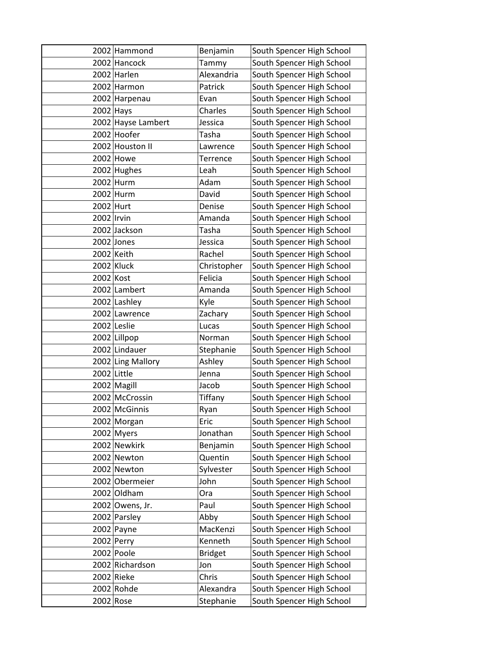|            | 2002 Hammond       | Benjamin       | South Spencer High School |
|------------|--------------------|----------------|---------------------------|
|            | 2002 Hancock       | Tammy          | South Spencer High School |
|            | 2002 Harlen        | Alexandria     | South Spencer High School |
|            | 2002 Harmon        | Patrick        | South Spencer High School |
|            | 2002 Harpenau      | Evan           | South Spencer High School |
|            | $2002$ Hays        | Charles        | South Spencer High School |
|            | 2002 Hayse Lambert | Jessica        | South Spencer High School |
|            | 2002 Hoofer        | Tasha          | South Spencer High School |
|            | 2002 Houston II    | Lawrence       | South Spencer High School |
|            | 2002 Howe          | Terrence       | South Spencer High School |
|            | 2002 Hughes        | Leah           | South Spencer High School |
|            | 2002 Hurm          | Adam           | South Spencer High School |
|            | 2002 Hurm          | David          | South Spencer High School |
| 2002 Hurt  |                    | Denise         | South Spencer High School |
| 2002 Irvin |                    | Amanda         | South Spencer High School |
|            | 2002 Jackson       | Tasha          | South Spencer High School |
|            | 2002 Jones         | Jessica        | South Spencer High School |
|            | 2002 Keith         | Rachel         | South Spencer High School |
|            | 2002 Kluck         | Christopher    | South Spencer High School |
| 2002 Kost  |                    | Felicia        | South Spencer High School |
|            | 2002 Lambert       | Amanda         | South Spencer High School |
|            | 2002 Lashley       | Kyle           | South Spencer High School |
|            | 2002 Lawrence      | Zachary        | South Spencer High School |
|            | 2002 Leslie        | Lucas          | South Spencer High School |
|            | 2002 Lillpop       | Norman         | South Spencer High School |
|            | 2002 Lindauer      | Stephanie      | South Spencer High School |
|            | 2002 Ling Mallory  | Ashley         | South Spencer High School |
|            | 2002 Little        | Jenna          | South Spencer High School |
|            | 2002 Magill        | Jacob          | South Spencer High School |
|            | 2002 McCrossin     | Tiffany        | South Spencer High School |
|            | 2002 McGinnis      | Ryan           | South Spencer High School |
|            | 2002 Morgan        | Eric           | South Spencer High School |
|            | 2002 Myers         | Jonathan       | South Spencer High School |
|            | 2002 Newkirk       | Benjamin       | South Spencer High School |
|            | 2002 Newton        | Quentin        | South Spencer High School |
|            | 2002 Newton        | Sylvester      | South Spencer High School |
|            | 2002 Obermeier     | John           | South Spencer High School |
|            | 2002 Oldham        | Ora            | South Spencer High School |
|            | 2002 Owens, Jr.    | Paul           | South Spencer High School |
|            | 2002 Parsley       | Abby           | South Spencer High School |
|            | 2002 Payne         | MacKenzi       | South Spencer High School |
|            | $2002$ Perry       | Kenneth        | South Spencer High School |
|            | 2002 Poole         | <b>Bridget</b> | South Spencer High School |
|            | 2002 Richardson    | Jon            | South Spencer High School |
|            | $2002$ Rieke       | Chris          | South Spencer High School |
|            | $2002$ Rohde       | Alexandra      | South Spencer High School |
|            | 2002 Rose          | Stephanie      | South Spencer High School |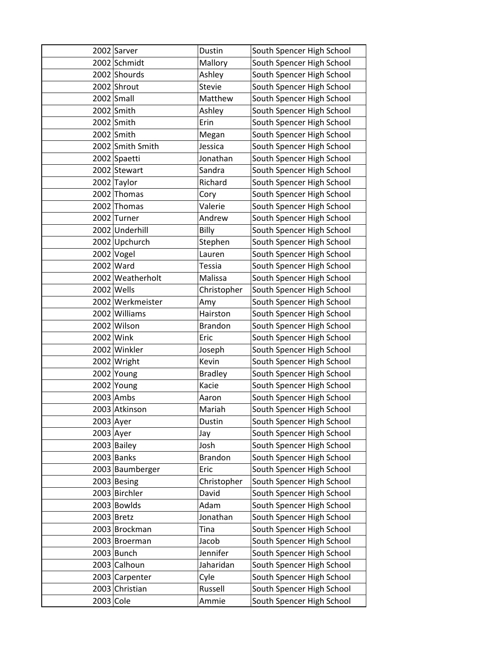|             | 2002 Sarver                 | Dustin               | South Spencer High School |
|-------------|-----------------------------|----------------------|---------------------------|
|             | 2002 Schmidt                | Mallory              | South Spencer High School |
|             | 2002 Shourds                | Ashley               | South Spencer High School |
|             | 2002 Shrout                 | <b>Stevie</b>        | South Spencer High School |
|             | 2002 Small                  | Matthew              | South Spencer High School |
|             | 2002 Smith                  | Ashley               | South Spencer High School |
|             | 2002 Smith                  | Erin                 | South Spencer High School |
|             | 2002 Smith                  | Megan                | South Spencer High School |
|             | 2002 Smith Smith            | Jessica              | South Spencer High School |
|             | 2002 Spaetti                | Jonathan             | South Spencer High School |
|             | 2002 Stewart                | Sandra               | South Spencer High School |
|             | 2002 Taylor                 | Richard              | South Spencer High School |
|             | 2002 Thomas                 | Cory                 | South Spencer High School |
|             | 2002 Thomas                 | Valerie              | South Spencer High School |
|             | 2002 Turner                 | Andrew               | South Spencer High School |
|             | 2002 Underhill              | Billy                | South Spencer High School |
|             | 2002 Upchurch               | Stephen              | South Spencer High School |
|             | $2002$ Vogel                | Lauren               | South Spencer High School |
|             | 2002 Ward                   | <b>Tessia</b>        | South Spencer High School |
|             | 2002 Weatherholt            | Malissa              | South Spencer High School |
|             | 2002 Wells                  | Christopher          | South Spencer High School |
|             | 2002 Werkmeister            | Amy                  | South Spencer High School |
|             | 2002 Williams               | Hairston             | South Spencer High School |
|             | 2002 Wilson                 | <b>Brandon</b>       | South Spencer High School |
|             | 2002 Wink                   | Eric                 | South Spencer High School |
|             | 2002 Winkler                | Joseph               | South Spencer High School |
|             | 2002 Wright                 | Kevin                | South Spencer High School |
|             | 2002 Young                  | <b>Bradley</b>       | South Spencer High School |
|             | 2002 Young                  | Kacie                | South Spencer High School |
|             | $2003$ Ambs                 | Aaron                | South Spencer High School |
|             | 2003 Atkinson               | Mariah               | South Spencer High School |
| $2003$ Ayer |                             | Dustin               | South Spencer High School |
| 2003 Ayer   |                             | Jay                  | South Spencer High School |
|             | 2003 Bailey                 | Josh                 | South Spencer High School |
|             | $2003$ Banks                | <b>Brandon</b>       | South Spencer High School |
|             | 2003 Baumberger             | Eric                 | South Spencer High School |
|             | 2003 Besing                 | Christopher<br>David | South Spencer High School |
|             | 2003 Birchler               |                      | South Spencer High School |
|             | 2003 Bowlds                 | Adam                 | South Spencer High School |
|             | 2003 Bretz<br>2003 Brockman | Jonathan             | South Spencer High School |
|             |                             | Tina<br>Jacob        | South Spencer High School |
|             | 2003 Broerman               | Jennifer             | South Spencer High School |
|             | 2003 Bunch                  |                      | South Spencer High School |
|             | 2003 Calhoun                | Jaharidan            | South Spencer High School |
|             | 2003 Carpenter              | Cyle                 | South Spencer High School |
|             | 2003 Christian              | Russell              | South Spencer High School |
| 2003 Cole   |                             | Ammie                | South Spencer High School |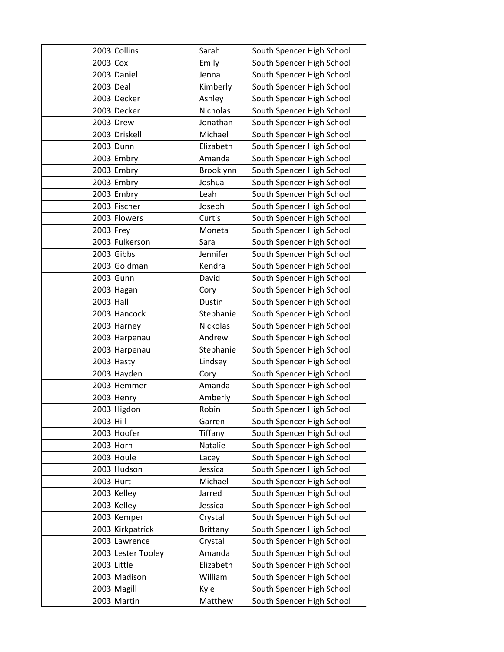|             | 2003 Collins       | Sarah           | South Spencer High School |
|-------------|--------------------|-----------------|---------------------------|
| $2003$ Cox  |                    | Emily           | South Spencer High School |
|             | 2003 Daniel        | Jenna           | South Spencer High School |
| 2003 Deal   |                    | Kimberly        | South Spencer High School |
|             | 2003 Decker        | Ashley          | South Spencer High School |
|             | 2003 Decker        | Nicholas        | South Spencer High School |
|             | 2003 Drew          | Jonathan        | South Spencer High School |
|             | 2003 Driskell      | Michael         | South Spencer High School |
|             | 2003 Dunn          | Elizabeth       | South Spencer High School |
|             | 2003 Embry         | Amanda          | South Spencer High School |
|             | 2003 Embry         | Brooklynn       | South Spencer High School |
|             | 2003 Embry         | Joshua          | South Spencer High School |
|             | $2003$ Embry       | Leah            | South Spencer High School |
|             | 2003 Fischer       | Joseph          | South Spencer High School |
|             | 2003 Flowers       | Curtis          | South Spencer High School |
| $2003$ Frey |                    | Moneta          | South Spencer High School |
|             | 2003 Fulkerson     | Sara            | South Spencer High School |
|             | $2003$ Gibbs       | Jennifer        | South Spencer High School |
|             | 2003 Goldman       | Kendra          | South Spencer High School |
|             | 2003 Gunn          | David           | South Spencer High School |
|             | 2003 Hagan         | Cory            | South Spencer High School |
| $2003$ Hall |                    | Dustin          | South Spencer High School |
|             | 2003 Hancock       | Stephanie       | South Spencer High School |
|             | 2003 Harney        | Nickolas        | South Spencer High School |
|             | 2003 Harpenau      | Andrew          | South Spencer High School |
|             | 2003 Harpenau      | Stephanie       | South Spencer High School |
|             | $2003$ Hasty       | Lindsey         | South Spencer High School |
|             | 2003 Hayden        | Cory            | South Spencer High School |
|             | 2003 Hemmer        | Amanda          | South Spencer High School |
|             | 2003 Henry         | Amberly         | South Spencer High School |
|             | 2003 Higdon        | Robin           | South Spencer High School |
| $2003$ Hill |                    | Garren          | South Spencer High School |
|             | 2003 Hoofer        | Tiffany         | South Spencer High School |
|             | $2003$ Horn        | Natalie         | South Spencer High School |
|             | 2003 Houle         | Lacey           | South Spencer High School |
|             | 2003 Hudson        | Jessica         | South Spencer High School |
| 2003 Hurt   |                    | Michael         | South Spencer High School |
|             | 2003 Kelley        | Jarred          | South Spencer High School |
|             | 2003 Kelley        | Jessica         | South Spencer High School |
|             | 2003 Kemper        | Crystal         | South Spencer High School |
|             | 2003 Kirkpatrick   | <b>Brittany</b> | South Spencer High School |
|             | 2003 Lawrence      | Crystal         | South Spencer High School |
|             | 2003 Lester Tooley | Amanda          | South Spencer High School |
|             | $2003$ Little      | Elizabeth       | South Spencer High School |
|             | 2003 Madison       | William         | South Spencer High School |
|             | 2003 Magill        | Kyle            | South Spencer High School |
|             | 2003 Martin        | Matthew         | South Spencer High School |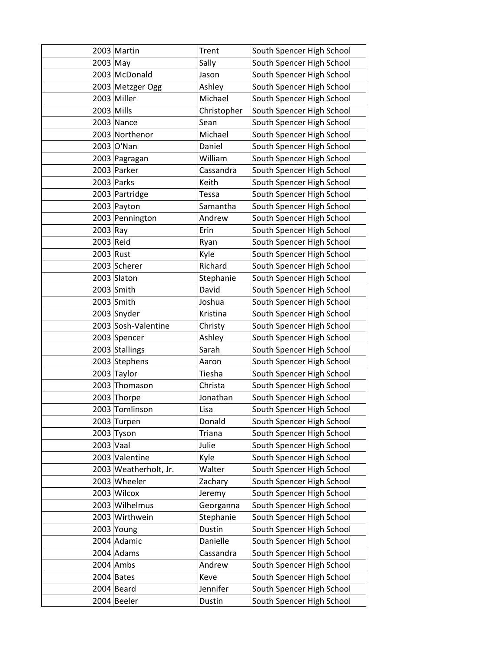|             | 2003 Martin           | <b>Trent</b> | South Spencer High School |
|-------------|-----------------------|--------------|---------------------------|
| 2003 May    |                       | Sally        | South Spencer High School |
|             | 2003 McDonald         | Jason        | South Spencer High School |
|             | 2003 Metzger Ogg      | Ashley       | South Spencer High School |
|             | 2003 Miller           | Michael      | South Spencer High School |
|             | $2003$ Mills          | Christopher  | South Spencer High School |
|             | $2003$ Nance          | Sean         | South Spencer High School |
|             | 2003 Northenor        | Michael      | South Spencer High School |
|             | 2003 O'Nan            | Daniel       | South Spencer High School |
|             | 2003 Pagragan         | William      | South Spencer High School |
|             | 2003 Parker           | Cassandra    | South Spencer High School |
|             | $2003$ Parks          | Keith        | South Spencer High School |
|             | 2003 Partridge        | Tessa        | South Spencer High School |
|             | 2003 Payton           | Samantha     | South Spencer High School |
|             | 2003 Pennington       | Andrew       | South Spencer High School |
| $2003$ Ray  |                       | Erin         | South Spencer High School |
| 2003 Reid   |                       | Ryan         | South Spencer High School |
| 2003 Rust   |                       | Kyle         | South Spencer High School |
|             | 2003 Scherer          | Richard      | South Spencer High School |
|             | 2003 Slaton           | Stephanie    | South Spencer High School |
|             | $2003$ Smith          | David        | South Spencer High School |
|             | 2003 Smith            | Joshua       | South Spencer High School |
|             | 2003 Snyder           | Kristina     | South Spencer High School |
|             | 2003 Sosh-Valentine   | Christy      | South Spencer High School |
|             | 2003 Spencer          | Ashley       | South Spencer High School |
|             | 2003 Stallings        | Sarah        | South Spencer High School |
|             | 2003 Stephens         | Aaron        | South Spencer High School |
| 2003        | Taylor                | Tiesha       | South Spencer High School |
| 2003        | Thomason              | Christa      | South Spencer High School |
|             | 2003 Thorpe           | Jonathan     | South Spencer High School |
|             | 2003 Tomlinson        | Lisa         | South Spencer High School |
|             | 2003 Turpen           | Donald       | South Spencer High School |
|             | $2003$ Tyson          | Triana       | South Spencer High School |
| $2003$ Vaal |                       | Julie        | South Spencer High School |
|             | 2003 Valentine        | Kyle         | South Spencer High School |
|             | 2003 Weatherholt, Jr. | Walter       | South Spencer High School |
|             | 2003 Wheeler          | Zachary      | South Spencer High School |
|             | 2003 Wilcox           | Jeremy       | South Spencer High School |
|             | 2003 Wilhelmus        | Georganna    | South Spencer High School |
|             | 2003 Wirthwein        | Stephanie    | South Spencer High School |
|             | $2003$ Young          | Dustin       | South Spencer High School |
|             | 2004 Adamic           | Danielle     | South Spencer High School |
|             | $2004$ Adams          | Cassandra    | South Spencer High School |
|             | $2004$ Ambs           | Andrew       | South Spencer High School |
|             | $2004$ Bates          | Keve         | South Spencer High School |
|             | 2004 Beard            | Jennifer     | South Spencer High School |
|             | 2004 Beeler           | Dustin       | South Spencer High School |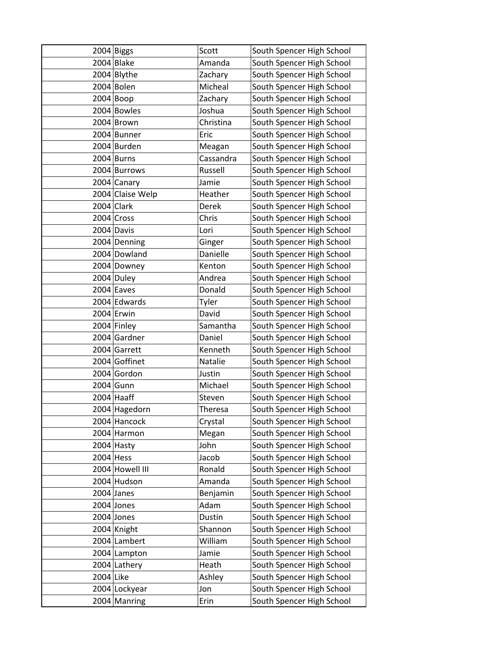|             | $2004$ Biggs     | Scott          | South Spencer High School |
|-------------|------------------|----------------|---------------------------|
|             | 2004 Blake       | Amanda         | South Spencer High School |
|             | 2004 Blythe      | Zachary        | South Spencer High School |
|             | 2004 Bolen       | Micheal        | South Spencer High School |
|             | $2004$ Boop      | Zachary        | South Spencer High School |
|             | 2004 Bowles      | Joshua         | South Spencer High School |
|             | 2004 Brown       | Christina      | South Spencer High School |
|             | 2004 Bunner      | Eric           | South Spencer High School |
|             | 2004 Burden      | Meagan         | South Spencer High School |
|             | 2004 Burns       | Cassandra      | South Spencer High School |
|             | 2004 Burrows     | Russell        | South Spencer High School |
|             | 2004 Canary      | Jamie          | South Spencer High School |
|             | 2004 Claise Welp | Heather        | South Spencer High School |
|             | $2004$ Clark     | Derek          | South Spencer High School |
|             | 2004 Cross       | Chris          | South Spencer High School |
|             | 2004 Davis       | Lori           | South Spencer High School |
|             | 2004 Denning     | Ginger         | South Spencer High School |
|             | 2004 Dowland     | Danielle       | South Spencer High School |
|             | 2004 Downey      | Kenton         | South Spencer High School |
|             | 2004 Duley       | Andrea         | South Spencer High School |
|             | $2004$ Eaves     | Donald         | South Spencer High School |
|             | 2004 Edwards     | Tyler          | South Spencer High School |
|             | 2004 Erwin       | David          | South Spencer High School |
|             | 2004 Finley      | Samantha       | South Spencer High School |
|             | 2004 Gardner     | Daniel         | South Spencer High School |
|             | 2004 Garrett     | Kenneth        | South Spencer High School |
|             | 2004 Goffinet    | Natalie        | South Spencer High School |
|             | 2004 Gordon      | Justin         | South Spencer High School |
|             | 2004 Gunn        | Michael        | South Spencer High School |
|             | $2004$ Haaff     | Steven         | South Spencer High School |
|             | 2004 Hagedorn    | <b>Theresa</b> | South Spencer High School |
|             | 2004 Hancock     | Crystal        | South Spencer High School |
|             | 2004 Harmon      | Megan          | South Spencer High School |
|             | 2004 Hasty       | John           | South Spencer High School |
| $2004$ Hess |                  | Jacob          | South Spencer High School |
|             | 2004 Howell III  | Ronald         | South Spencer High School |
|             | 2004 Hudson      | Amanda         | South Spencer High School |
|             | $2004$ Janes     | Benjamin       | South Spencer High School |
|             | $2004$ Jones     | Adam           | South Spencer High School |
|             | $2004$ Jones     | Dustin         | South Spencer High School |
|             | 2004 Knight      | Shannon        | South Spencer High School |
|             | 2004 Lambert     | William        | South Spencer High School |
|             | 2004 Lampton     | Jamie          | South Spencer High School |
|             | 2004 Lathery     | Heath          | South Spencer High School |
| 2004 Like   |                  | Ashley         | South Spencer High School |
|             | 2004 Lockyear    | Jon            | South Spencer High School |
|             | 2004 Manring     | Erin           | South Spencer High School |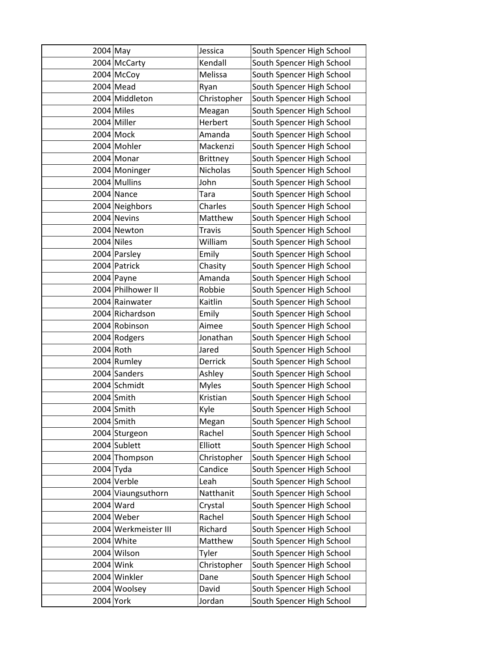| $2004$ May  |                      | Jessica         | South Spencer High School |
|-------------|----------------------|-----------------|---------------------------|
|             | 2004 McCarty         | Kendall         | South Spencer High School |
|             | 2004 McCoy           | Melissa         | South Spencer High School |
|             | $2004$ Mead          | Ryan            | South Spencer High School |
|             | 2004 Middleton       | Christopher     | South Spencer High School |
|             | 2004 Miles           | Meagan          | South Spencer High School |
|             | 2004 Miller          | Herbert         | South Spencer High School |
|             | 2004 Mock            | Amanda          | South Spencer High School |
|             | 2004 Mohler          | Mackenzi        | South Spencer High School |
|             | 2004 Monar           | <b>Brittney</b> | South Spencer High School |
|             | 2004 Moninger        | Nicholas        | South Spencer High School |
|             | 2004 Mullins         | John            | South Spencer High School |
|             | 2004 Nance           | Tara            | South Spencer High School |
|             | 2004 Neighbors       | Charles         | South Spencer High School |
|             | 2004 Nevins          | Matthew         | South Spencer High School |
|             | 2004 Newton          | <b>Travis</b>   | South Spencer High School |
|             | 2004 Niles           | William         | South Spencer High School |
|             | 2004 Parsley         | Emily           | South Spencer High School |
|             | 2004 Patrick         | Chasity         | South Spencer High School |
|             | 2004 Payne           | Amanda          | South Spencer High School |
|             | 2004 Philhower II    | Robbie          | South Spencer High School |
|             | 2004 Rainwater       | Kaitlin         | South Spencer High School |
|             | 2004 Richardson      | Emily           | South Spencer High School |
|             | 2004 Robinson        | Aimee           | South Spencer High School |
|             | 2004 Rodgers         | Jonathan        | South Spencer High School |
| 2004 Roth   |                      | Jared           | South Spencer High School |
|             | 2004 Rumley          | Derrick         | South Spencer High School |
|             | 2004 Sanders         | Ashley          | South Spencer High School |
|             | 2004 Schmidt         | <b>Myles</b>    | South Spencer High School |
|             | 2004 Smith           | Kristian        | South Spencer High School |
|             | $2004$ Smith         | Kyle            | South Spencer High School |
|             | 2004 Smith           | Megan           | South Spencer High School |
|             | 2004 Sturgeon        | Rachel          | South Spencer High School |
|             | 2004 Sublett         | Elliott         | South Spencer High School |
|             | 2004 Thompson        | Christopher     | South Spencer High School |
| $2004$ Tyda |                      | Candice         | South Spencer High School |
|             | 2004 Verble          | Leah            | South Spencer High School |
|             | 2004 Viaungsuthorn   | Natthanit       | South Spencer High School |
|             | 2004 Ward            | Crystal         | South Spencer High School |
|             | 2004 Weber           | Rachel          | South Spencer High School |
|             | 2004 Werkmeister III | Richard         | South Spencer High School |
|             | 2004 White           | Matthew         | South Spencer High School |
|             | 2004 Wilson          | Tyler           | South Spencer High School |
|             | 2004 Wink            | Christopher     | South Spencer High School |
|             | 2004 Winkler         | Dane            | South Spencer High School |
|             | 2004 Woolsey         | David           | South Spencer High School |
| 2004 York   |                      | Jordan          | South Spencer High School |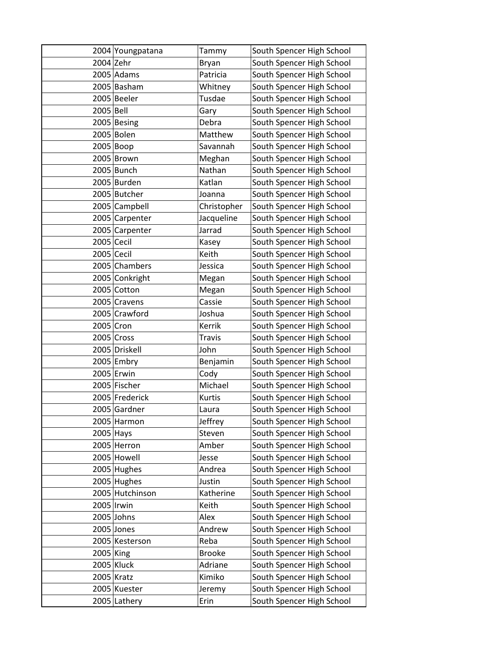|             | 2004 Youngpatana | Tammy         | South Spencer High School |
|-------------|------------------|---------------|---------------------------|
| $2004$ Zehr |                  | Bryan         | South Spencer High School |
|             | 2005 Adams       | Patricia      | South Spencer High School |
|             | 2005 Basham      | Whitney       | South Spencer High School |
|             | 2005 Beeler      | Tusdae        | South Spencer High School |
| 2005 Bell   |                  | Gary          | South Spencer High School |
|             | 2005 Besing      | Debra         | South Spencer High School |
|             | 2005 Bolen       | Matthew       | South Spencer High School |
|             | 2005 Boop        | Savannah      | South Spencer High School |
|             | 2005 Brown       | Meghan        | South Spencer High School |
|             | 2005 Bunch       | Nathan        | South Spencer High School |
|             | 2005 Burden      | Katlan        | South Spencer High School |
|             | 2005 Butcher     | Joanna        | South Spencer High School |
|             | 2005 Campbell    | Christopher   | South Spencer High School |
|             | 2005 Carpenter   | Jacqueline    | South Spencer High School |
|             | 2005 Carpenter   | Jarrad        | South Spencer High School |
| 2005 Cecil  |                  | Kasey         | South Spencer High School |
| 2005 Cecil  |                  | Keith         | South Spencer High School |
|             | 2005 Chambers    | Jessica       | South Spencer High School |
|             | 2005 Conkright   | Megan         | South Spencer High School |
|             | 2005 Cotton      | Megan         | South Spencer High School |
|             | 2005 Cravens     | Cassie        | South Spencer High School |
|             | 2005 Crawford    | Joshua        | South Spencer High School |
| 2005 Cron   |                  | Kerrik        | South Spencer High School |
|             | $2005$ Cross     | <b>Travis</b> | South Spencer High School |
|             | 2005 Driskell    | John          | South Spencer High School |
|             | 2005 Embry       | Benjamin      | South Spencer High School |
|             | 2005 Erwin       | Cody          | South Spencer High School |
|             | 2005 Fischer     | Michael       | South Spencer High School |
|             | 2005 Frederick   | Kurtis        | South Spencer High School |
|             | 2005 Gardner     | Laura         | South Spencer High School |
|             | 2005 Harmon      | Jeffrey       | South Spencer High School |
| 2005 Hays   |                  | Steven        | South Spencer High School |
|             | 2005 Herron      | Amber         | South Spencer High School |
|             | 2005 Howell      | Jesse         | South Spencer High School |
|             | 2005 Hughes      | Andrea        | South Spencer High School |
|             | 2005 Hughes      | Justin        | South Spencer High School |
|             | 2005 Hutchinson  | Katherine     | South Spencer High School |
|             | 2005   Irwin     | Keith         | South Spencer High School |
|             | $2005$ Johns     | Alex          | South Spencer High School |
|             | $2005$ Jones     | Andrew        | South Spencer High School |
|             | 2005 Kesterson   | Reba          | South Spencer High School |
| 2005 King   |                  | <b>Brooke</b> | South Spencer High School |
|             | $2005$ Kluck     | Adriane       | South Spencer High School |
|             | 2005 Kratz       | Kimiko        | South Spencer High School |
|             | 2005 Kuester     | Jeremy        | South Spencer High School |
|             | 2005 Lathery     | Erin          | South Spencer High School |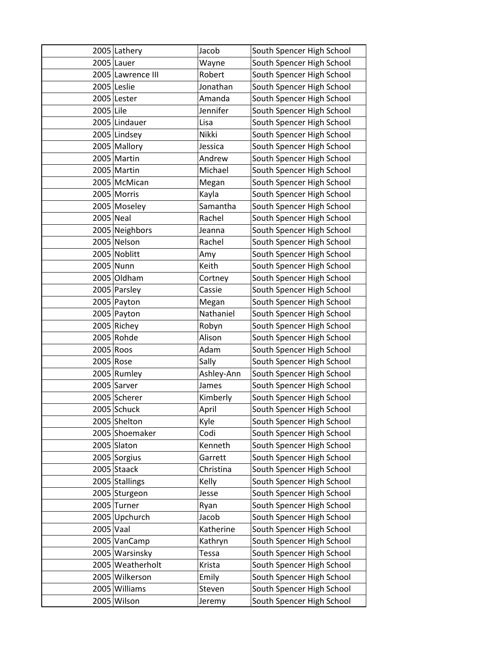|           | 2005 Lathery      | Jacob      | South Spencer High School |
|-----------|-------------------|------------|---------------------------|
|           | $2005$ Lauer      | Wayne      | South Spencer High School |
|           | 2005 Lawrence III | Robert     | South Spencer High School |
|           | 2005 Leslie       | Jonathan   | South Spencer High School |
|           | 2005 Lester       | Amanda     | South Spencer High School |
| 2005 Lile |                   | Jennifer   | South Spencer High School |
|           | 2005 Lindauer     | Lisa       | South Spencer High School |
|           | 2005 Lindsey      | Nikki      | South Spencer High School |
|           | 2005 Mallory      | Jessica    | South Spencer High School |
|           | 2005 Martin       | Andrew     | South Spencer High School |
|           | 2005 Martin       | Michael    | South Spencer High School |
|           | 2005 McMican      | Megan      | South Spencer High School |
|           | 2005 Morris       | Kayla      | South Spencer High School |
|           | 2005 Moseley      | Samantha   | South Spencer High School |
| 2005 Neal |                   | Rachel     | South Spencer High School |
|           | 2005 Neighbors    | Jeanna     | South Spencer High School |
|           | 2005 Nelson       | Rachel     | South Spencer High School |
|           | 2005 Noblitt      | Amy        | South Spencer High School |
|           | 2005 Nunn         | Keith      | South Spencer High School |
|           | 2005 Oldham       | Cortney    | South Spencer High School |
|           | 2005 Parsley      | Cassie     | South Spencer High School |
|           | 2005 Payton       | Megan      | South Spencer High School |
|           | 2005 Payton       | Nathaniel  | South Spencer High School |
|           | 2005 Richey       | Robyn      | South Spencer High School |
|           | 2005 Rohde        | Alison     | South Spencer High School |
|           | 2005 Roos         | Adam       | South Spencer High School |
|           | 2005 Rose         | Sally      | South Spencer High School |
|           | 2005 Rumley       | Ashley-Ann | South Spencer High School |
|           | 2005 Sarver       | James      | South Spencer High School |
|           | 2005 Scherer      | Kimberly   | South Spencer High School |
|           | 2005 Schuck       | April      | South Spencer High School |
|           | 2005 Shelton      | Kyle       | South Spencer High School |
|           | 2005 Shoemaker    | Codi       | South Spencer High School |
|           | 2005 Slaton       | Kenneth    | South Spencer High School |
|           | 2005 Sorgius      | Garrett    | South Spencer High School |
|           | 2005 Staack       | Christina  | South Spencer High School |
|           | 2005 Stallings    | Kelly      | South Spencer High School |
|           | 2005 Sturgeon     | Jesse      | South Spencer High School |
|           | 2005 Turner       | Ryan       | South Spencer High School |
|           | 2005 Upchurch     | Jacob      | South Spencer High School |
| 2005 Vaal |                   | Katherine  | South Spencer High School |
|           | 2005 VanCamp      | Kathryn    | South Spencer High School |
|           | 2005 Warsinsky    | Tessa      | South Spencer High School |
|           | 2005 Weatherholt  | Krista     | South Spencer High School |
|           | 2005 Wilkerson    | Emily      | South Spencer High School |
|           | 2005 Williams     | Steven     | South Spencer High School |
|           | 2005 Wilson       | Jeremy     | South Spencer High School |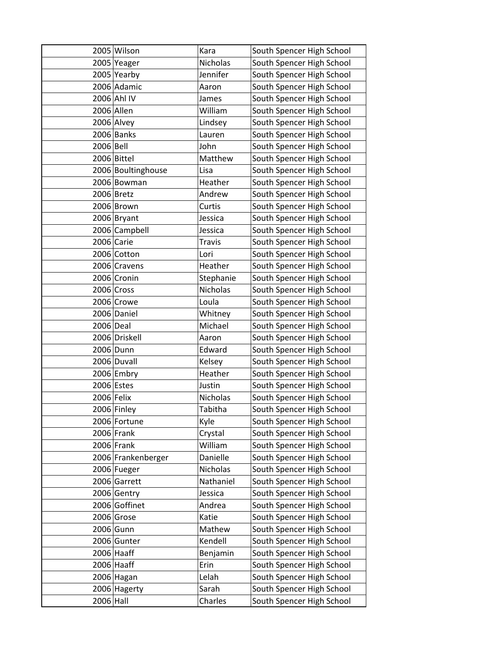|              | 2005 Wilson        | Kara            | South Spencer High School |
|--------------|--------------------|-----------------|---------------------------|
|              | 2005 Yeager        | Nicholas        | South Spencer High School |
|              | 2005 Yearby        | Jennifer        | South Spencer High School |
|              | 2006 Adamic        | Aaron           | South Spencer High School |
|              | 2006 Ahl IV        | James           | South Spencer High School |
|              | 2006 Allen         | William         | South Spencer High School |
|              | 2006 Alvey         | Lindsey         | South Spencer High School |
|              | 2006 Banks         | Lauren          | South Spencer High School |
| 2006 Bell    |                    | John            | South Spencer High School |
|              | 2006 Bittel        | Matthew         | South Spencer High School |
|              | 2006 Boultinghouse | Lisa            | South Spencer High School |
|              | 2006 Bowman        | Heather         | South Spencer High School |
|              | 2006 Bretz         | Andrew          | South Spencer High School |
|              | 2006 Brown         | Curtis          | South Spencer High School |
|              | 2006 Bryant        | Jessica         | South Spencer High School |
|              | 2006 Campbell      | Jessica         | South Spencer High School |
|              | 2006 Carie         | <b>Travis</b>   | South Spencer High School |
|              | 2006 Cotton        | Lori            | South Spencer High School |
|              | 2006 Cravens       | Heather         | South Spencer High School |
|              | 2006 Cronin        | Stephanie       | South Spencer High School |
|              | 2006 Cross         | <b>Nicholas</b> | South Spencer High School |
|              | 2006 Crowe         | Loula           | South Spencer High School |
|              | 2006 Daniel        | Whitney         | South Spencer High School |
| 2006 Deal    |                    | Michael         | South Spencer High School |
|              | 2006 Driskell      | Aaron           | South Spencer High School |
|              | 2006 Dunn          | Edward          | South Spencer High School |
|              | 2006 Duvall        | Kelsey          | South Spencer High School |
|              | 2006 Embry         | Heather         | South Spencer High School |
|              | 2006 Estes         | Justin          | South Spencer High School |
| $2006$ Felix |                    | Nicholas        | South Spencer High School |
|              | 2006 Finley        | Tabitha         | South Spencer High School |
|              | 2006 Fortune       | Kyle            | South Spencer High School |
|              | $2006$ Frank       | Crystal         | South Spencer High School |
|              | 2006 Frank         | William         | South Spencer High School |
|              | 2006 Frankenberger | Danielle        | South Spencer High School |
|              | 2006 Fueger        | Nicholas        | South Spencer High School |
|              | 2006 Garrett       | Nathaniel       | South Spencer High School |
|              | 2006 Gentry        | Jessica         | South Spencer High School |
|              | 2006 Goffinet      | Andrea          | South Spencer High School |
|              | 2006 Grose         | Katie           | South Spencer High School |
|              | 2006 Gunn          | Mathew          | South Spencer High School |
|              | 2006 Gunter        | Kendell         | South Spencer High School |
|              | $2006$ Haaff       | Benjamin        | South Spencer High School |
|              | 2006 Haaff         | Erin            | South Spencer High School |
|              | 2006 Hagan         | Lelah           | South Spencer High School |
|              | 2006 Hagerty       | Sarah           | South Spencer High School |
| 2006 Hall    |                    | Charles         | South Spencer High School |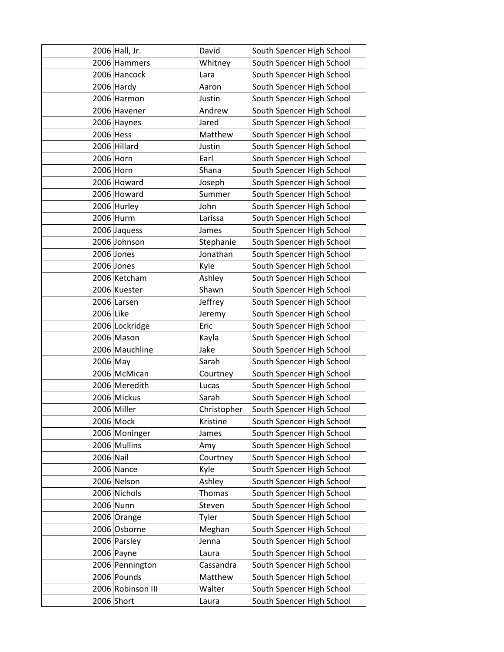|           | 2006 Hall, Jr.    | David         | South Spencer High School |
|-----------|-------------------|---------------|---------------------------|
|           | 2006 Hammers      | Whitney       | South Spencer High School |
|           | 2006 Hancock      | Lara          | South Spencer High School |
|           | $2006$ Hardy      | Aaron         | South Spencer High School |
|           | 2006 Harmon       | Justin        | South Spencer High School |
|           | 2006 Havener      | Andrew        | South Spencer High School |
|           | 2006 Haynes       | Jared         | South Spencer High School |
| 2006 Hess |                   | Matthew       | South Spencer High School |
|           | 2006 Hillard      | Justin        | South Spencer High School |
|           | 2006 Horn         | Earl          | South Spencer High School |
|           | 2006 Horn         | Shana         | South Spencer High School |
|           | 2006 Howard       | Joseph        | South Spencer High School |
|           | 2006 Howard       | Summer        | South Spencer High School |
|           | 2006 Hurley       | John          | South Spencer High School |
|           | 2006 Hurm         | Larissa       | South Spencer High School |
|           | 2006 Jaquess      | James         | South Spencer High School |
|           | 2006 Johnson      | Stephanie     | South Spencer High School |
|           | 2006 Jones        | Jonathan      | South Spencer High School |
|           | 2006 Jones        | Kyle          | South Spencer High School |
|           | 2006 Ketcham      | Ashley        | South Spencer High School |
|           | 2006 Kuester      | Shawn         | South Spencer High School |
|           | 2006 Larsen       | Jeffrey       | South Spencer High School |
| 2006 Like |                   | Jeremy        | South Spencer High School |
|           | 2006 Lockridge    | Eric          | South Spencer High School |
|           | 2006 Mason        | Kayla         | South Spencer High School |
|           | 2006 Mauchline    | Jake          | South Spencer High School |
| 2006 May  |                   | Sarah         | South Spencer High School |
|           | 2006 McMican      | Courtney      | South Spencer High School |
|           | 2006 Meredith     | Lucas         | South Spencer High School |
|           | 2006 Mickus       | Sarah         | South Spencer High School |
|           | 2006 Miller       | Christopher   | South Spencer High School |
|           | 2006 Mock         | Kristine      | South Spencer High School |
|           | 2006 Moninger     | James         | South Spencer High School |
|           | 2006 Mullins      | Amy           | South Spencer High School |
| 2006 Nail |                   | Courtney      | South Spencer High School |
|           | 2006 Nance        | Kyle          | South Spencer High School |
|           | 2006 Nelson       | Ashley        | South Spencer High School |
|           | 2006 Nichols      | <b>Thomas</b> | South Spencer High School |
|           | 2006 Nunn         | Steven        | South Spencer High School |
|           | 2006 Orange       | Tyler         | South Spencer High School |
|           | 2006 Osborne      | Meghan        | South Spencer High School |
|           | 2006 Parsley      | Jenna         | South Spencer High School |
|           | 2006 Payne        | Laura         | South Spencer High School |
|           | 2006 Pennington   | Cassandra     | South Spencer High School |
|           | 2006 Pounds       | Matthew       | South Spencer High School |
|           | 2006 Robinson III | Walter        | South Spencer High School |
|           | 2006 Short        | Laura         | South Spencer High School |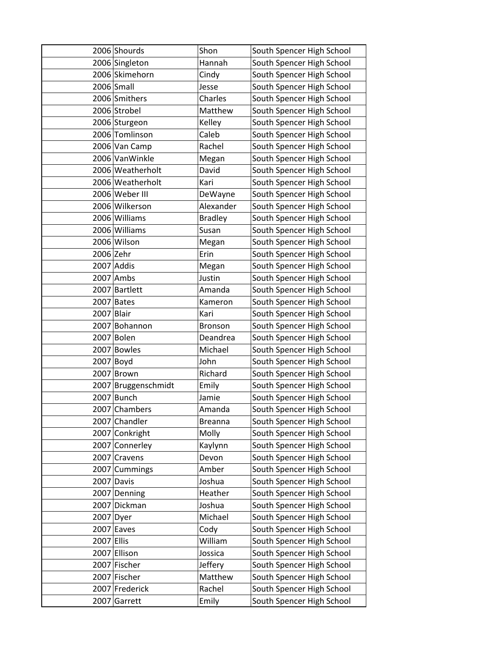|            | 2006 Shourds     | Shon           | South Spencer High School |
|------------|------------------|----------------|---------------------------|
|            | 2006 Singleton   | Hannah         | South Spencer High School |
|            | 2006 Skimehorn   | Cindy          | South Spencer High School |
|            | 2006 Small       | Jesse          | South Spencer High School |
|            | 2006 Smithers    | Charles        | South Spencer High School |
|            | 2006 Strobel     | Matthew        | South Spencer High School |
|            | 2006 Sturgeon    | Kelley         | South Spencer High School |
|            | 2006 Tomlinson   | Caleb          | South Spencer High School |
|            | 2006 Van Camp    | Rachel         | South Spencer High School |
|            | 2006 VanWinkle   | Megan          | South Spencer High School |
|            | 2006 Weatherholt | David          | South Spencer High School |
|            | 2006 Weatherholt | Kari           | South Spencer High School |
|            | 2006 Weber III   | DeWayne        | South Spencer High School |
|            | 2006 Wilkerson   | Alexander      | South Spencer High School |
|            | 2006 Williams    | <b>Bradley</b> | South Spencer High School |
|            | 2006 Williams    | Susan          | South Spencer High School |
|            | 2006 Wilson      | Megan          | South Spencer High School |
| 2006 Zehr  |                  | Erin           | South Spencer High School |
|            | 2007 Addis       | Megan          | South Spencer High School |
|            | 2007 Ambs        | Justin         | South Spencer High School |
|            | 2007 Bartlett    | Amanda         | South Spencer High School |
|            | 2007 Bates       | Kameron        | South Spencer High School |
| 2007       | <b>Blair</b>     | Kari           | South Spencer High School |
|            | 2007 Bohannon    | <b>Bronson</b> | South Spencer High School |
|            | 2007 Bolen       | Deandrea       | South Spencer High School |
|            | 2007 Bowles      | Michael        | South Spencer High School |
|            | $2007$ Boyd      | John           | South Spencer High School |
| 2007       | Brown            | Richard        | South Spencer High School |
| 2007       | Bruggenschmidt   | Emily          | South Spencer High School |
| 2007       | <b>Bunch</b>     | Jamie          | South Spencer High School |
|            | 2007 Chambers    | Amanda         | South Spencer High School |
|            | 2007 Chandler    | <b>Breanna</b> | South Spencer High School |
|            | 2007 Conkright   | Molly          | South Spencer High School |
|            | 2007 Connerley   | Kaylynn        | South Spencer High School |
| 2007       | Cravens          | Devon          | South Spencer High School |
|            | 2007 Cummings    | Amber          | South Spencer High School |
|            | 2007 Davis       | Joshua         | South Spencer High School |
|            | 2007 Denning     | Heather        | South Spencer High School |
|            | 2007 Dickman     | Joshua         | South Spencer High School |
| 2007 Dyer  |                  | Michael        | South Spencer High School |
|            | 2007 Eaves       | Cody           | South Spencer High School |
| 2007 Ellis |                  | William        | South Spencer High School |
|            | 2007 Ellison     | Jossica        | South Spencer High School |
|            | 2007 Fischer     | Jeffery        | South Spencer High School |
|            | 2007 Fischer     | Matthew        | South Spencer High School |
|            | 2007 Frederick   | Rachel         | South Spencer High School |
| 2007       | Garrett          | Emily          | South Spencer High School |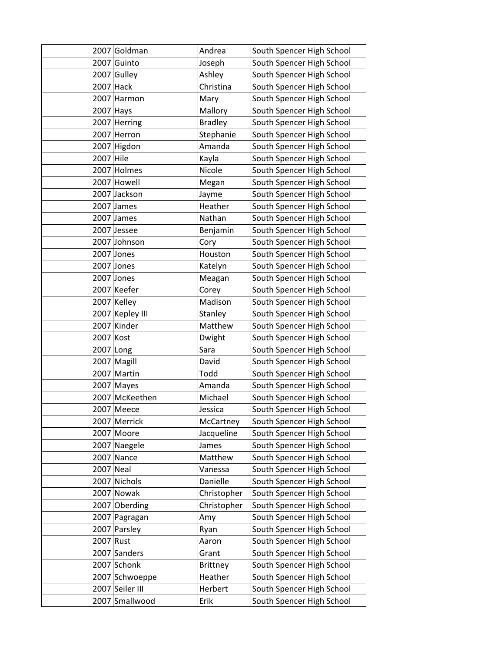|             | 2007 Goldman    | Andrea          | South Spencer High School |
|-------------|-----------------|-----------------|---------------------------|
| 2007        | Guinto          | Joseph          | South Spencer High School |
|             | 2007 Gulley     | Ashley          | South Spencer High School |
| 2007        | Hack            | Christina       | South Spencer High School |
|             | 2007 Harmon     | Mary            | South Spencer High School |
| $2007$ Hays |                 | Mallory         | South Spencer High School |
|             | 2007 Herring    | <b>Bradley</b>  | South Spencer High School |
|             | 2007 Herron     | Stephanie       | South Spencer High School |
| 2007        | Higdon          | Amanda          | South Spencer High School |
| 2007        | Hile            | Kayla           | South Spencer High School |
|             | 2007 Holmes     | Nicole          | South Spencer High School |
|             | 2007 Howell     | Megan           | South Spencer High School |
|             | 2007 Jackson    | Jayme           | South Spencer High School |
|             | 2007 James      | Heather         | South Spencer High School |
|             | $2007$ James    | Nathan          | South Spencer High School |
|             | 2007 Jessee     | Benjamin        | South Spencer High School |
|             | 2007 Johnson    | Cory            | South Spencer High School |
|             | 2007 Jones      | Houston         | South Spencer High School |
|             | 2007 Jones      | Katelyn         | South Spencer High School |
|             | 2007 Jones      | Meagan          | South Spencer High School |
|             | 2007 Keefer     | Corey           | South Spencer High School |
|             | 2007 Kelley     | Madison         | South Spencer High School |
|             | 2007 Kepley III | Stanley         | South Spencer High School |
| 2007        | Kinder          | Matthew         | South Spencer High School |
| 2007 Kost   |                 | Dwight          | South Spencer High School |
| 2007 Long   |                 | Sara            | South Spencer High School |
|             | 2007 Magill     | David           | South Spencer High School |
| 2007        | Martin          | Todd            | South Spencer High School |
|             | 2007 Mayes      | Amanda          | South Spencer High School |
|             | 2007 McKeethen  | Michael         | South Spencer High School |
|             | 2007 Meece      | Jessica         | South Spencer High School |
|             | 2007 Merrick    | McCartney       | South Spencer High School |
|             | 2007 Moore      | Jacqueline      | South Spencer High School |
|             | 2007 Naegele    | James           | South Spencer High School |
| 2007        | Nance           | Matthew         | South Spencer High School |
| 2007 Neal   |                 | Vanessa         | South Spencer High School |
|             | 2007 Nichols    | Danielle        | South Spencer High School |
|             | 2007 Nowak      | Christopher     | South Spencer High School |
|             | 2007 Oberding   | Christopher     | South Spencer High School |
|             | 2007 Pagragan   | Amy             | South Spencer High School |
|             | 2007 Parsley    | Ryan            | South Spencer High School |
| 2007 Rust   |                 | Aaron           | South Spencer High School |
|             | 2007 Sanders    | Grant           | South Spencer High School |
|             | 2007 Schonk     | <b>Brittney</b> | South Spencer High School |
|             | 2007 Schwoeppe  | Heather         | South Spencer High School |
|             | 2007 Seiler III | Herbert         | South Spencer High School |
| 2007        | Smallwood       | Erik            | South Spencer High School |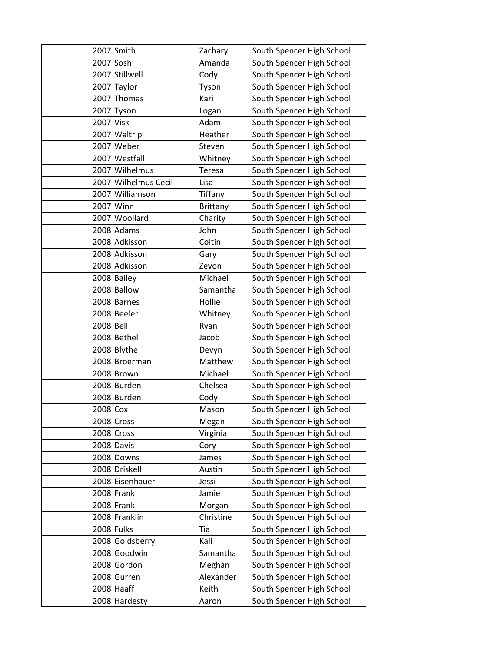|             | 2007 Smith           | Zachary         | South Spencer High School |
|-------------|----------------------|-----------------|---------------------------|
| 2007 Sosh   |                      | Amanda          | South Spencer High School |
|             | 2007 Stillwell       | Cody            | South Spencer High School |
| 2007        | Taylor               | Tyson           | South Spencer High School |
| 2007        | Thomas               | Kari            | South Spencer High School |
| 2007        | Tyson                | Logan           | South Spencer High School |
| $2007$ Visk |                      | Adam            | South Spencer High School |
|             | 2007 Waltrip         | Heather         | South Spencer High School |
| 2007        | Weber                | Steven          | South Spencer High School |
|             | 2007 Westfall        | Whitney         | South Spencer High School |
|             | 2007 Wilhelmus       | Teresa          | South Spencer High School |
|             | 2007 Wilhelmus Cecil | Lisa            | South Spencer High School |
|             | 2007 Williamson      | Tiffany         | South Spencer High School |
|             | 2007 Winn            | <b>Brittany</b> | South Spencer High School |
|             | 2007 Woollard        | Charity         | South Spencer High School |
|             | 2008 Adams           | John            | South Spencer High School |
|             | 2008 Adkisson        | Coltin          | South Spencer High School |
|             | 2008 Adkisson        | Gary            | South Spencer High School |
|             | 2008 Adkisson        | Zevon           | South Spencer High School |
|             | 2008 Bailey          | Michael         | South Spencer High School |
|             | 2008 Ballow          | Samantha        | South Spencer High School |
|             | 2008 Barnes          | Hollie          | South Spencer High School |
|             | 2008 Beeler          | Whitney         | South Spencer High School |
| 2008 Bell   |                      | Ryan            | South Spencer High School |
|             | 2008 Bethel          | Jacob           | South Spencer High School |
|             | 2008 Blythe          | Devyn           | South Spencer High School |
|             | 2008 Broerman        | Matthew         | South Spencer High School |
|             | 2008 Brown           | Michael         | South Spencer High School |
|             | 2008 Burden          | Chelsea         | South Spencer High School |
|             | 2008 Burden          | Cody            | South Spencer High School |
| $2008$ Cox  |                      | Mason           | South Spencer High School |
|             | 2008 Cross           | Megan           | South Spencer High School |
|             | 2008 Cross           | Virginia        | South Spencer High School |
|             | 2008 Davis           | Cory            | South Spencer High School |
|             | 2008 Downs           | James           | South Spencer High School |
|             | 2008 Driskell        | Austin          | South Spencer High School |
|             | 2008 Eisenhauer      | Jessi           | South Spencer High School |
|             | $2008$ Frank         | Jamie           | South Spencer High School |
|             | $2008$ Frank         | Morgan          | South Spencer High School |
|             | 2008 Franklin        | Christine       | South Spencer High School |
|             | 2008 Fulks           | Tia             | South Spencer High School |
|             | 2008 Goldsberry      | Kali            | South Spencer High School |
|             | 2008 Goodwin         | Samantha        | South Spencer High School |
|             | 2008 Gordon          | Meghan          | South Spencer High School |
|             | 2008 Gurren          | Alexander       | South Spencer High School |
|             | $2008$ Haaff         | Keith           | South Spencer High School |
|             | 2008 Hardesty        | Aaron           | South Spencer High School |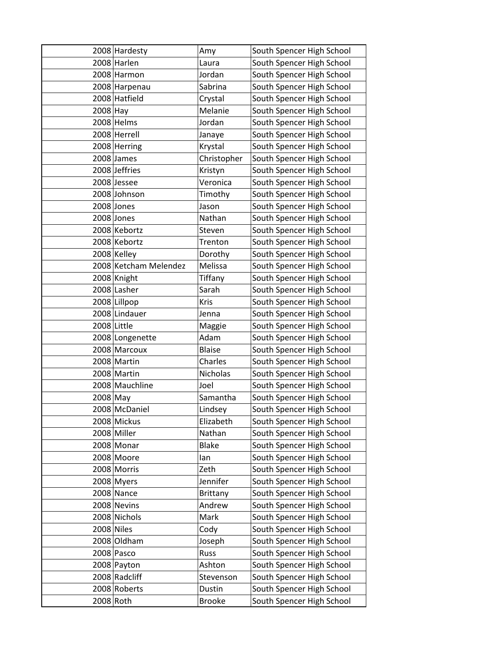|            | 2008 Hardesty         | Amy             | South Spencer High School |
|------------|-----------------------|-----------------|---------------------------|
|            | 2008 Harlen           | Laura           | South Spencer High School |
|            | 2008 Harmon           | Jordan          | South Spencer High School |
|            | 2008 Harpenau         | Sabrina         | South Spencer High School |
|            | 2008 Hatfield         | Crystal         | South Spencer High School |
| $2008$ Hay |                       | Melanie         | South Spencer High School |
|            | 2008 Helms            | Jordan          | South Spencer High School |
|            | 2008 Herrell          | Janaye          | South Spencer High School |
|            | 2008 Herring          | Krystal         | South Spencer High School |
|            | 2008 James            | Christopher     | South Spencer High School |
|            | 2008 Jeffries         | Kristyn         | South Spencer High School |
|            | 2008 Jessee           | Veronica        | South Spencer High School |
|            | 2008 Johnson          | Timothy         | South Spencer High School |
|            | 2008 Jones            | Jason           | South Spencer High School |
|            | 2008 Jones            | Nathan          | South Spencer High School |
|            | 2008 Kebortz          | Steven          | South Spencer High School |
|            | 2008 Kebortz          | Trenton         | South Spencer High School |
|            | 2008 Kelley           | Dorothy         | South Spencer High School |
|            | 2008 Ketcham Melendez | Melissa         | South Spencer High School |
|            | 2008 Knight           | Tiffany         | South Spencer High School |
|            | 2008 Lasher           | Sarah           | South Spencer High School |
|            | 2008 Lillpop          | Kris            | South Spencer High School |
|            | 2008 Lindauer         | Jenna           | South Spencer High School |
|            | 2008 Little           | Maggie          | South Spencer High School |
|            | 2008 Longenette       | Adam            | South Spencer High School |
|            | 2008 Marcoux          | <b>Blaise</b>   | South Spencer High School |
|            | 2008 Martin           | Charles         | South Spencer High School |
|            | 2008 Martin           | Nicholas        | South Spencer High School |
|            | 2008 Mauchline        | Joel            | South Spencer High School |
| 2008 May   |                       | Samantha        | South Spencer High School |
|            | 2008 McDaniel         | Lindsey         | South Spencer High School |
|            | 2008 Mickus           | Elizabeth       | South Spencer High School |
|            | 2008 Miller           | Nathan          | South Spencer High School |
|            | 2008 Monar            | <b>Blake</b>    | South Spencer High School |
|            | 2008 Moore            | lan             | South Spencer High School |
|            | 2008 Morris           | Zeth            | South Spencer High School |
|            | 2008 Myers            | Jennifer        | South Spencer High School |
|            | 2008 Nance            | <b>Brittany</b> | South Spencer High School |
|            | 2008 Nevins           | Andrew          | South Spencer High School |
|            | 2008 Nichols          | Mark            | South Spencer High School |
| 2008 Niles |                       | Cody            | South Spencer High School |
|            | 2008 Oldham           | Joseph          | South Spencer High School |
|            | 2008 Pasco            | Russ            | South Spencer High School |
|            | 2008 Payton           | Ashton          | South Spencer High School |
|            | 2008 Radcliff         | Stevenson       | South Spencer High School |
|            | 2008 Roberts          | Dustin          | South Spencer High School |
| 2008 Roth  |                       | <b>Brooke</b>   | South Spencer High School |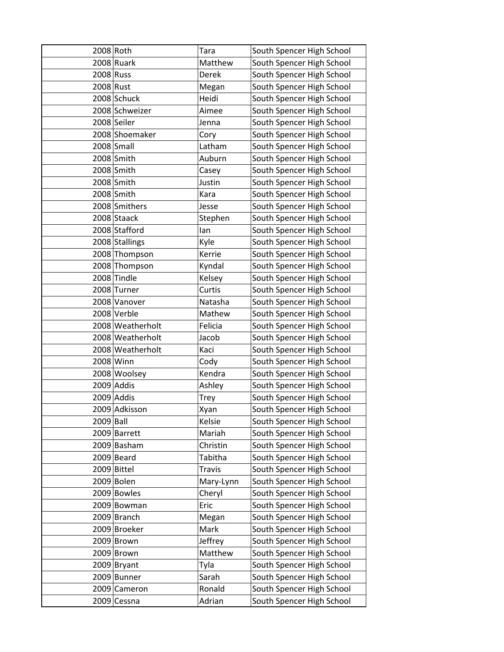| 2008 Roth |                  | Tara          | South Spencer High School |
|-----------|------------------|---------------|---------------------------|
|           | $2008$ Ruark     | Matthew       | South Spencer High School |
| 2008 Russ |                  | <b>Derek</b>  | South Spencer High School |
| 2008 Rust |                  | Megan         | South Spencer High School |
|           | 2008 Schuck      | Heidi         | South Spencer High School |
|           | 2008 Schweizer   | Aimee         | South Spencer High School |
|           | 2008 Seiler      | Jenna         | South Spencer High School |
|           | 2008 Shoemaker   | Cory          | South Spencer High School |
|           | 2008 Small       | Latham        | South Spencer High School |
|           | 2008 Smith       | Auburn        | South Spencer High School |
|           | 2008 Smith       | Casey         | South Spencer High School |
|           | 2008 Smith       | Justin        | South Spencer High School |
|           | 2008 Smith       | Kara          | South Spencer High School |
|           | 2008 Smithers    | Jesse         | South Spencer High School |
|           | 2008 Staack      | Stephen       | South Spencer High School |
|           | 2008 Stafford    | lan           | South Spencer High School |
|           | 2008 Stallings   | Kyle          | South Spencer High School |
|           | 2008 Thompson    | Kerrie        | South Spencer High School |
|           | 2008 Thompson    | Kyndal        | South Spencer High School |
|           | 2008 Tindle      | Kelsey        | South Spencer High School |
|           | 2008 Turner      | Curtis        | South Spencer High School |
|           | 2008 Vanover     | Natasha       | South Spencer High School |
|           | 2008 Verble      | Mathew        | South Spencer High School |
|           | 2008 Weatherholt | Felicia       | South Spencer High School |
|           | 2008 Weatherholt | Jacob         | South Spencer High School |
|           | 2008 Weatherholt | Kaci          | South Spencer High School |
|           | 2008 Winn        | Cody          | South Spencer High School |
|           | 2008 Woolsey     | Kendra        | South Spencer High School |
|           | 2009 Addis       | Ashley        | South Spencer High School |
|           | 2009 Addis       | <b>Trey</b>   | South Spencer High School |
|           | 2009 Adkisson    | Xyan          | South Spencer High School |
| 2009 Ball |                  | Kelsie        | South Spencer High School |
|           | 2009 Barrett     | Mariah        | South Spencer High School |
|           | 2009 Basham      | Christin      | South Spencer High School |
|           | 2009 Beard       | Tabitha       | South Spencer High School |
|           | 2009 Bittel      | <b>Travis</b> | South Spencer High School |
|           | 2009 Bolen       | Mary-Lynn     | South Spencer High School |
|           | 2009 Bowles      | Cheryl        | South Spencer High School |
|           | 2009 Bowman      | Eric          | South Spencer High School |
|           | 2009 Branch      | Megan         | South Spencer High School |
|           | 2009 Broeker     | Mark          | South Spencer High School |
|           | 2009 Brown       | Jeffrey       | South Spencer High School |
|           | 2009 Brown       | Matthew       | South Spencer High School |
|           | 2009 Bryant      | Tyla          | South Spencer High School |
|           | 2009 Bunner      | Sarah         | South Spencer High School |
|           | 2009 Cameron     | Ronald        | South Spencer High School |
|           | 2009 Cessna      | Adrian        | South Spencer High School |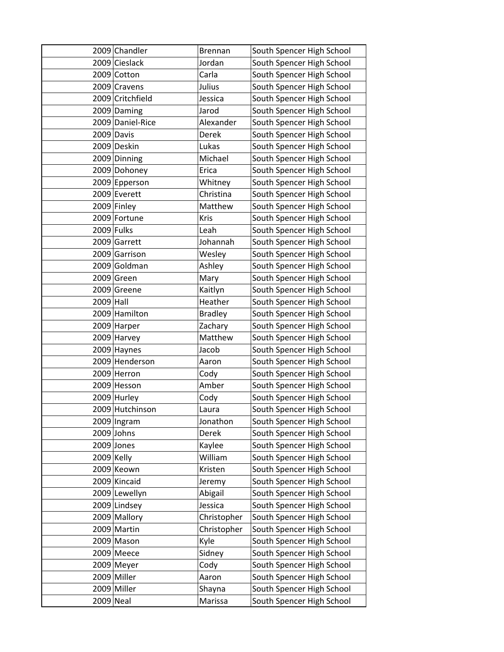|           | 2009 Chandler    | <b>Brennan</b> | South Spencer High School |
|-----------|------------------|----------------|---------------------------|
|           | 2009 Cieslack    | Jordan         | South Spencer High School |
|           | 2009 Cotton      | Carla          | South Spencer High School |
|           | 2009 Cravens     | Julius         | South Spencer High School |
|           | 2009 Critchfield | Jessica        | South Spencer High School |
|           | 2009 Daming      | Jarod          | South Spencer High School |
|           | 2009 Daniel-Rice | Alexander      | South Spencer High School |
|           | 2009 Davis       | Derek          | South Spencer High School |
|           | 2009 Deskin      | Lukas          | South Spencer High School |
|           | 2009 Dinning     | Michael        | South Spencer High School |
|           | 2009 Dohoney     | Erica          | South Spencer High School |
|           | 2009 Epperson    | Whitney        | South Spencer High School |
|           | 2009 Everett     | Christina      | South Spencer High School |
|           | 2009 Finley      | Matthew        | South Spencer High School |
|           | 2009 Fortune     | Kris           | South Spencer High School |
|           | 2009 Fulks       | Leah           | South Spencer High School |
|           | 2009 Garrett     | Johannah       | South Spencer High School |
|           | 2009 Garrison    | Wesley         | South Spencer High School |
|           | 2009 Goldman     | Ashley         | South Spencer High School |
|           | 2009 Green       | Mary           | South Spencer High School |
|           | 2009 Greene      | Kaitlyn        | South Spencer High School |
| 2009 Hall |                  | Heather        | South Spencer High School |
|           | 2009 Hamilton    | <b>Bradley</b> | South Spencer High School |
|           | 2009 Harper      | Zachary        | South Spencer High School |
|           | 2009 Harvey      | Matthew        | South Spencer High School |
|           | 2009 Haynes      | Jacob          | South Spencer High School |
|           | 2009 Henderson   | Aaron          | South Spencer High School |
|           | 2009 Herron      | Cody           | South Spencer High School |
|           | 2009 Hesson      | Amber          | South Spencer High School |
|           | 2009 Hurley      | Cody           | South Spencer High School |
|           | 2009 Hutchinson  | Laura          | South Spencer High School |
|           | 2009 Ingram      | Jonathon       | South Spencer High School |
|           | $2009$ Johns     | Derek          | South Spencer High School |
|           | $2009$ Jones     | Kaylee         | South Spencer High School |
|           | $2009$ Kelly     | William        | South Spencer High School |
|           | 2009 Keown       | Kristen        | South Spencer High School |
|           | 2009 Kincaid     | Jeremy         | South Spencer High School |
|           | 2009 Lewellyn    | Abigail        | South Spencer High School |
|           | 2009 Lindsey     | Jessica        | South Spencer High School |
|           | 2009 Mallory     | Christopher    | South Spencer High School |
|           | 2009 Martin      | Christopher    | South Spencer High School |
|           | 2009 Mason       | Kyle           | South Spencer High School |
|           | 2009 Meece       | Sidney         | South Spencer High School |
|           | 2009 Meyer       | Cody           | South Spencer High School |
|           | 2009 Miller      | Aaron          | South Spencer High School |
|           | 2009 Miller      | Shayna         | South Spencer High School |
| 2009 Neal |                  | Marissa        | South Spencer High School |